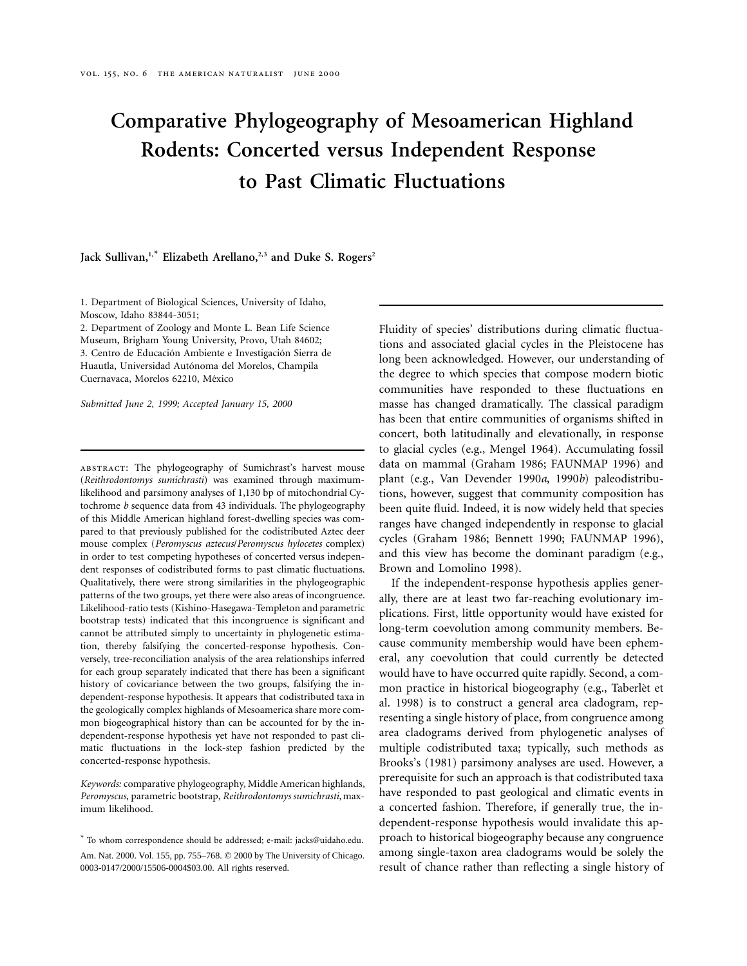# **Comparative Phylogeography of Mesoamerican Highland Rodents: Concerted versus Independent Response to Past Climatic Fluctuations**

# Jack Sullivan,<sup>1,\*</sup> Elizabeth Arellano,<sup>2,3</sup> and Duke S. Rogers<sup>2</sup>

1. Department of Biological Sciences, University of Idaho, Moscow, Idaho 83844-3051;

2. Department of Zoology and Monte L. Bean Life Science Museum, Brigham Young University, Provo, Utah 84602; 3. Centro de Educación Ambiente e Investigación Sierra de Huautla, Universidad Autónoma del Morelos, Champila Cuernavaca, Morelos 62210, México

*Submitted June 2, 1999; Accepted January 15, 2000*

abstract: The phylogeography of Sumichrast's harvest mouse (*Reithrodontomys sumichrasti*) was examined through maximumlikelihood and parsimony analyses of 1,130 bp of mitochondrial Cytochrome *b* sequence data from 43 individuals. The phylogeography of this Middle American highland forest-dwelling species was compared to that previously published for the codistributed Aztec deer mouse complex (*Peromyscus aztecus*/*Peromyscus hylocetes* complex) in order to test competing hypotheses of concerted versus independent responses of codistributed forms to past climatic fluctuations. Qualitatively, there were strong similarities in the phylogeographic patterns of the two groups, yet there were also areas of incongruence. Likelihood-ratio tests (Kishino-Hasegawa-Templeton and parametric bootstrap tests) indicated that this incongruence is significant and cannot be attributed simply to uncertainty in phylogenetic estimation, thereby falsifying the concerted-response hypothesis. Conversely, tree-reconciliation analysis of the area relationships inferred for each group separately indicated that there has been a significant history of covicariance between the two groups, falsifying the independent-response hypothesis. It appears that codistributed taxa in the geologically complex highlands of Mesoamerica share more common biogeographical history than can be accounted for by the independent-response hypothesis yet have not responded to past climatic fluctuations in the lock-step fashion predicted by the concerted-response hypothesis.

*Keywords:* comparative phylogeography, Middle American highlands, *Peromyscus*, parametric bootstrap, *Reithrodontomys sumichrasti*, maximum likelihood.

Fluidity of species' distributions during climatic fluctuations and associated glacial cycles in the Pleistocene has long been acknowledged. However, our understanding of the degree to which species that compose modern biotic communities have responded to these fluctuations en masse has changed dramatically. The classical paradigm has been that entire communities of organisms shifted in concert, both latitudinally and elevationally, in response to glacial cycles (e.g., Mengel 1964). Accumulating fossil data on mammal (Graham 1986; FAUNMAP 1996) and plant (e.g., Van Devender 1990*a*, 1990*b*) paleodistributions, however, suggest that community composition has been quite fluid. Indeed, it is now widely held that species ranges have changed independently in response to glacial cycles (Graham 1986; Bennett 1990; FAUNMAP 1996), and this view has become the dominant paradigm (e.g., Brown and Lomolino 1998).

If the independent-response hypothesis applies generally, there are at least two far-reaching evolutionary implications. First, little opportunity would have existed for long-term coevolution among community members. Because community membership would have been ephemeral, any coevolution that could currently be detected would have to have occurred quite rapidly. Second, a common practice in historical biogeography (e.g., Taberlèt et al. 1998) is to construct a general area cladogram, representing a single history of place, from congruence among area cladograms derived from phylogenetic analyses of multiple codistributed taxa; typically, such methods as Brooks's (1981) parsimony analyses are used. However, a prerequisite for such an approach is that codistributed taxa have responded to past geological and climatic events in a concerted fashion. Therefore, if generally true, the independent-response hypothesis would invalidate this approach to historical biogeography because any congruence among single-taxon area cladograms would be solely the result of chance rather than reflecting a single history of

<sup>\*</sup> To whom correspondence should be addressed; e-mail: jacks@uidaho.edu. Am. Nat. 2000. Vol. 155, pp. 755–768. © 2000 by The University of Chicago. 0003-0147/2000/15506-0004\$03.00. All rights reserved.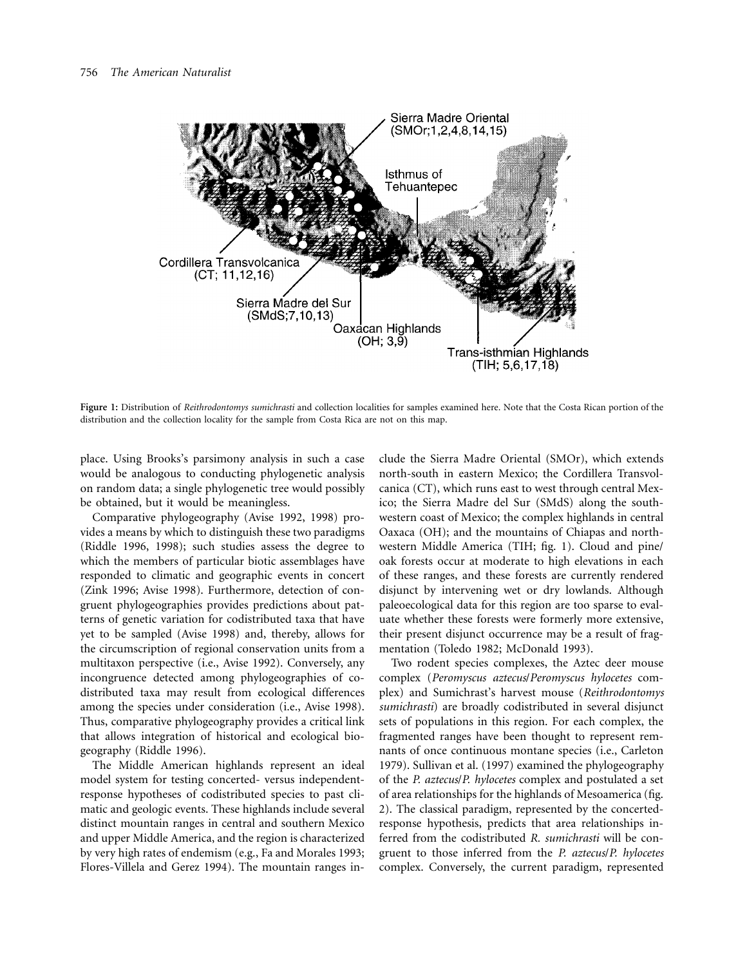

**Figure 1:** Distribution of *Reithrodontomys sumichrasti* and collection localities for samples examined here. Note that the Costa Rican portion of the distribution and the collection locality for the sample from Costa Rica are not on this map.

place. Using Brooks's parsimony analysis in such a case would be analogous to conducting phylogenetic analysis on random data; a single phylogenetic tree would possibly be obtained, but it would be meaningless.

Comparative phylogeography (Avise 1992, 1998) provides a means by which to distinguish these two paradigms (Riddle 1996, 1998); such studies assess the degree to which the members of particular biotic assemblages have responded to climatic and geographic events in concert (Zink 1996; Avise 1998). Furthermore, detection of congruent phylogeographies provides predictions about patterns of genetic variation for codistributed taxa that have yet to be sampled (Avise 1998) and, thereby, allows for the circumscription of regional conservation units from a multitaxon perspective (i.e., Avise 1992). Conversely, any incongruence detected among phylogeographies of codistributed taxa may result from ecological differences among the species under consideration (i.e., Avise 1998). Thus, comparative phylogeography provides a critical link that allows integration of historical and ecological biogeography (Riddle 1996).

The Middle American highlands represent an ideal model system for testing concerted- versus independentresponse hypotheses of codistributed species to past climatic and geologic events. These highlands include several distinct mountain ranges in central and southern Mexico and upper Middle America, and the region is characterized by very high rates of endemism (e.g., Fa and Morales 1993; Flores-Villela and Gerez 1994). The mountain ranges include the Sierra Madre Oriental (SMOr), which extends north-south in eastern Mexico; the Cordillera Transvolcanica (CT), which runs east to west through central Mexico; the Sierra Madre del Sur (SMdS) along the southwestern coast of Mexico; the complex highlands in central Oaxaca (OH); and the mountains of Chiapas and northwestern Middle America (TIH; fig. 1). Cloud and pine/ oak forests occur at moderate to high elevations in each of these ranges, and these forests are currently rendered disjunct by intervening wet or dry lowlands. Although paleoecological data for this region are too sparse to evaluate whether these forests were formerly more extensive, their present disjunct occurrence may be a result of fragmentation (Toledo 1982; McDonald 1993).

Two rodent species complexes, the Aztec deer mouse complex (*Peromyscus aztecus*/*Peromyscus hylocetes* complex) and Sumichrast's harvest mouse (*Reithrodontomys sumichrasti*) are broadly codistributed in several disjunct sets of populations in this region. For each complex, the fragmented ranges have been thought to represent remnants of once continuous montane species (i.e., Carleton 1979). Sullivan et al. (1997) examined the phylogeography of the *P. aztecus*/*P. hylocetes* complex and postulated a set of area relationships for the highlands of Mesoamerica (fig. 2). The classical paradigm, represented by the concertedresponse hypothesis, predicts that area relationships inferred from the codistributed *R. sumichrasti* will be congruent to those inferred from the *P. aztecus*/*P. hylocetes* complex. Conversely, the current paradigm, represented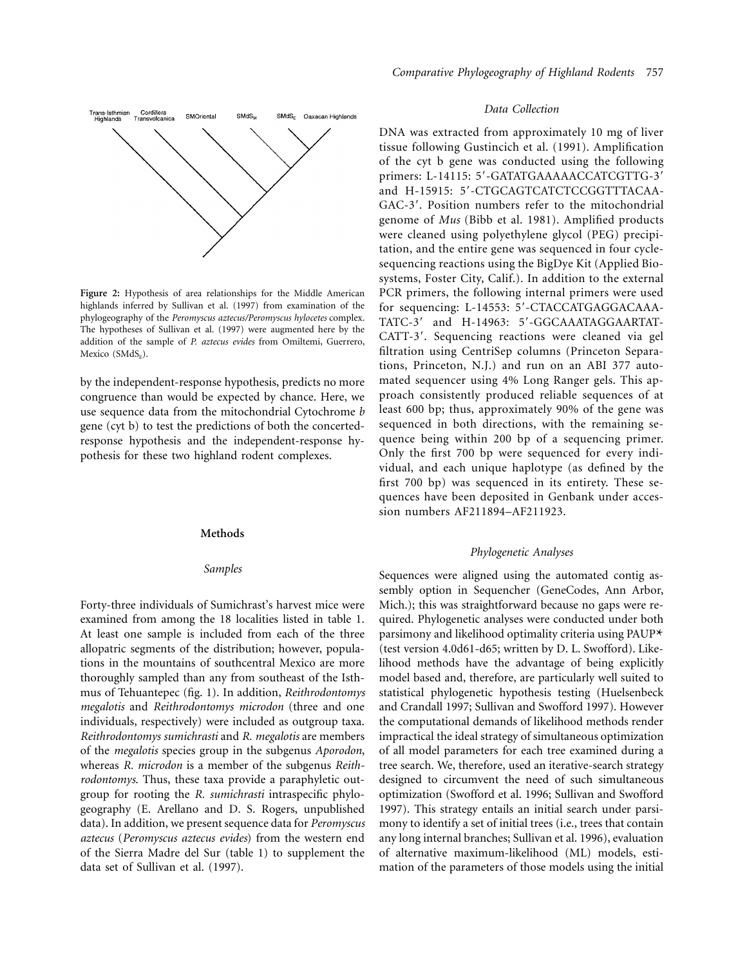

**Figure 2:** Hypothesis of area relationships for the Middle American highlands inferred by Sullivan et al. (1997) from examination of the phylogeography of the *Peromyscus aztecus/Peromyscus hylocetes* complex. The hypotheses of Sullivan et al. (1997) were augmented here by the addition of the sample of *P. aztecus evides* from Omiltemi, Guerrero, Mexico ( $SMdS<sub>E</sub>$ ).

by the independent-response hypothesis, predicts no more congruence than would be expected by chance. Here, we use sequence data from the mitochondrial Cytochrome *b* gene (cyt b) to test the predictions of both the concertedresponse hypothesis and the independent-response hypothesis for these two highland rodent complexes.

## **Methods**

#### *Samples*

Forty-three individuals of Sumichrast's harvest mice were examined from among the 18 localities listed in table 1. At least one sample is included from each of the three allopatric segments of the distribution; however, populations in the mountains of southcentral Mexico are more thoroughly sampled than any from southeast of the Isthmus of Tehuantepec (fig. 1). In addition, *Reithrodontomys megalotis* and *Reithrodontomys microdon* (three and one individuals, respectively) were included as outgroup taxa. *Reithrodontomys sumichrasti* and *R. megalotis* are members of the *megalotis* species group in the subgenus *Aporodon*, whereas *R. microdon* is a member of the subgenus *Reithrodontomys*. Thus, these taxa provide a paraphyletic outgroup for rooting the *R. sumichrasti* intraspecific phylogeography (E. Arellano and D. S. Rogers, unpublished data). In addition, we present sequence data for *Peromyscus aztecus* (*Peromyscus aztecus evides*) from the western end of the Sierra Madre del Sur (table 1) to supplement the data set of Sullivan et al. (1997).

# *Data Collection*

DNA was extracted from approximately 10 mg of liver tissue following Gustincich et al. (1991). Amplification of the cyt b gene was conducted using the following primers: L-14115: 5'-GATATGAAAAACCATCGTTG-3' and H-15915: 5'-CTGCAGTCATCTCCGGTTTACAA-GAC-3'. Position numbers refer to the mitochondrial genome of *Mus* (Bibb et al. 1981). Amplified products were cleaned using polyethylene glycol (PEG) precipitation, and the entire gene was sequenced in four cyclesequencing reactions using the BigDye Kit (Applied Biosystems, Foster City, Calif.). In addition to the external PCR primers, the following internal primers were used for sequencing: L-14553: 5'-CTACCATGAGGACAAA-TATC-3' and H-14963: 5'-GGCAAATAGGAARTAT-CATT-3'. Sequencing reactions were cleaned via gel filtration using CentriSep columns (Princeton Separations, Princeton, N.J.) and run on an ABI 377 automated sequencer using 4% Long Ranger gels. This approach consistently produced reliable sequences of at least 600 bp; thus, approximately 90% of the gene was sequenced in both directions, with the remaining sequence being within 200 bp of a sequencing primer. Only the first 700 bp were sequenced for every individual, and each unique haplotype (as defined by the first 700 bp) was sequenced in its entirety. These sequences have been deposited in Genbank under accession numbers AF211894–AF211923.

## *Phylogenetic Analyses*

Sequences were aligned using the automated contig assembly option in Sequencher (GeneCodes, Ann Arbor, Mich.); this was straightforward because no gaps were required. Phylogenetic analyses were conducted under both parsimony and likelihood optimality criteria using PAUP\* (test version 4.0d61-d65; written by D. L. Swofford). Likelihood methods have the advantage of being explicitly model based and, therefore, are particularly well suited to statistical phylogenetic hypothesis testing (Huelsenbeck and Crandall 1997; Sullivan and Swofford 1997). However the computational demands of likelihood methods render impractical the ideal strategy of simultaneous optimization of all model parameters for each tree examined during a tree search. We, therefore, used an iterative-search strategy designed to circumvent the need of such simultaneous optimization (Swofford et al. 1996; Sullivan and Swofford 1997). This strategy entails an initial search under parsimony to identify a set of initial trees (i.e., trees that contain any long internal branches; Sullivan et al. 1996), evaluation of alternative maximum-likelihood (ML) models, estimation of the parameters of those models using the initial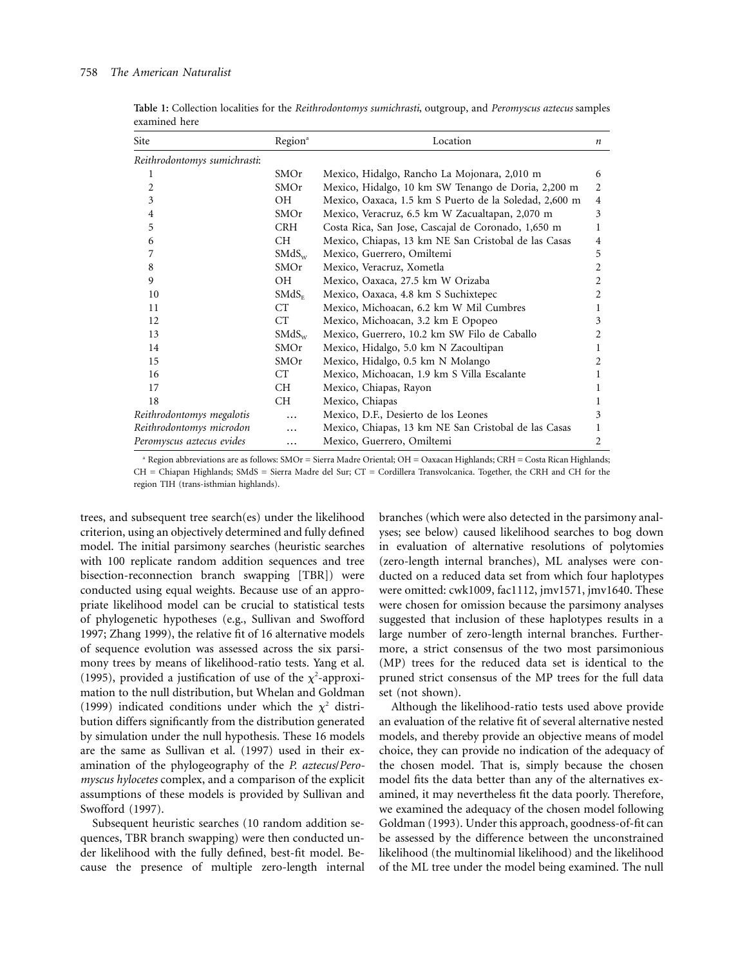| Site                         | Region <sup>a</sup> | Location                                               | $\boldsymbol{n}$ |
|------------------------------|---------------------|--------------------------------------------------------|------------------|
| Reithrodontomys sumichrasti: |                     |                                                        |                  |
| 1                            | SMOr                | Mexico, Hidalgo, Rancho La Mojonara, 2,010 m           | 6                |
| 2                            | SMOr                | Mexico, Hidalgo, 10 km SW Tenango de Doria, 2,200 m    | 2                |
| 3                            | <b>OH</b>           | Mexico, Oaxaca, 1.5 km S Puerto de la Soledad, 2,600 m | 4                |
| 4                            | SMOr                | Mexico, Veracruz, 6.5 km W Zacualtapan, 2,070 m        | 3                |
| 5                            | <b>CRH</b>          | Costa Rica, San Jose, Cascajal de Coronado, 1,650 m    |                  |
| 6                            | CH.                 | Mexico, Chiapas, 13 km NE San Cristobal de las Casas   | 4                |
| 7                            | SMdS <sub>w</sub>   | Mexico, Guerrero, Omiltemi                             | 5                |
| 8                            | SMOr                | Mexico, Veracruz, Xometla                              |                  |
| 9                            | OH                  | Mexico, Oaxaca, 27.5 km W Orizaba                      | 2                |
| 10                           | SMdS <sub>E</sub>   | Mexico, Oaxaca, 4.8 km S Suchixtepec                   | 2                |
| 11                           | CT                  | Mexico, Michoacan, 6.2 km W Mil Cumbres                |                  |
| 12                           | CT                  | Mexico, Michoacan, 3.2 km E Opopeo                     | 3                |
| 13                           | SMdS <sub>w</sub>   | Mexico, Guerrero, 10.2 km SW Filo de Caballo           |                  |
| 14                           | SMOr                | Mexico, Hidalgo, 5.0 km N Zacoultipan                  |                  |
| 15                           | SMOr                | Mexico, Hidalgo, 0.5 km N Molango                      |                  |
| 16                           | CT.                 | Mexico, Michoacan, 1.9 km S Villa Escalante            |                  |
| 17                           | CH.                 | Mexico, Chiapas, Rayon                                 |                  |
| 18                           | CH.                 | Mexico, Chiapas                                        |                  |
| Reithrodontomys megalotis    |                     | Mexico, D.F., Desierto de los Leones                   | 3                |
| Reithrodontomys microdon     | .                   | Mexico, Chiapas, 13 km NE San Cristobal de las Casas   |                  |
| Peromyscus aztecus evides    | .                   | Mexico, Guerrero, Omiltemi                             | 2                |

**Table 1:** Collection localities for the *Reithrodontomys sumichrasti*, outgroup, and *Peromyscus aztecus* samples examined here

<sup>a</sup> Region abbreviations are as follows: SMOr = Sierra Madre Oriental; OH = Oaxacan Highlands; CRH = Costa Rican Highlands; CH = Chiapan Highlands; SMdS = Sierra Madre del Sur; CT = Cordillera Transvolcanica. Together, the CRH and CH for the region TIH (trans-isthmian highlands).

trees, and subsequent tree search(es) under the likelihood criterion, using an objectively determined and fully defined model. The initial parsimony searches (heuristic searches with 100 replicate random addition sequences and tree bisection-reconnection branch swapping [TBR]) were conducted using equal weights. Because use of an appropriate likelihood model can be crucial to statistical tests of phylogenetic hypotheses (e.g., Sullivan and Swofford 1997; Zhang 1999), the relative fit of 16 alternative models of sequence evolution was assessed across the six parsimony trees by means of likelihood-ratio tests. Yang et al. (1995), provided a justification of use of the  $\chi^2$ -approximation to the null distribution, but Whelan and Goldman (1999) indicated conditions under which the  $\chi^2$  distribution differs significantly from the distribution generated by simulation under the null hypothesis. These 16 models are the same as Sullivan et al. (1997) used in their examination of the phylogeography of the *P. aztecus*/*Peromyscus hylocetes* complex, and a comparison of the explicit assumptions of these models is provided by Sullivan and Swofford (1997).

Subsequent heuristic searches (10 random addition sequences, TBR branch swapping) were then conducted under likelihood with the fully defined, best-fit model. Because the presence of multiple zero-length internal branches (which were also detected in the parsimony analyses; see below) caused likelihood searches to bog down in evaluation of alternative resolutions of polytomies (zero-length internal branches), ML analyses were conducted on a reduced data set from which four haplotypes were omitted: cwk1009, fac1112, jmv1571, jmv1640. These were chosen for omission because the parsimony analyses suggested that inclusion of these haplotypes results in a large number of zero-length internal branches. Furthermore, a strict consensus of the two most parsimonious (MP) trees for the reduced data set is identical to the pruned strict consensus of the MP trees for the full data set (not shown).

Although the likelihood-ratio tests used above provide an evaluation of the relative fit of several alternative nested models, and thereby provide an objective means of model choice, they can provide no indication of the adequacy of the chosen model. That is, simply because the chosen model fits the data better than any of the alternatives examined, it may nevertheless fit the data poorly. Therefore, we examined the adequacy of the chosen model following Goldman (1993). Under this approach, goodness-of-fit can be assessed by the difference between the unconstrained likelihood (the multinomial likelihood) and the likelihood of the ML tree under the model being examined. The null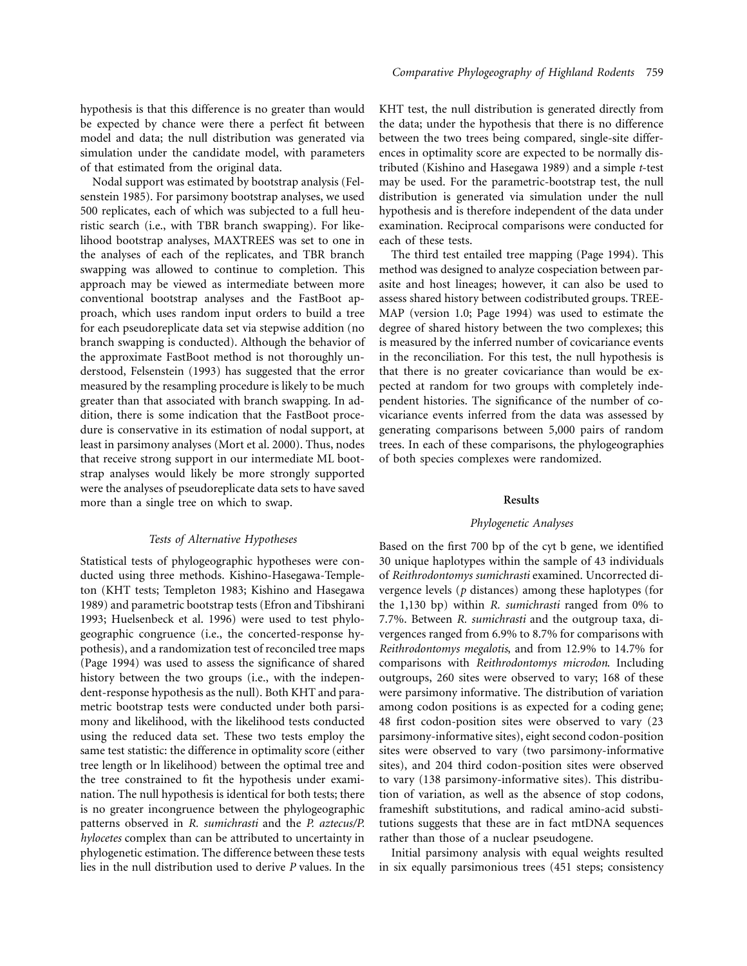hypothesis is that this difference is no greater than would be expected by chance were there a perfect fit between model and data; the null distribution was generated via simulation under the candidate model, with parameters of that estimated from the original data.

Nodal support was estimated by bootstrap analysis (Felsenstein 1985). For parsimony bootstrap analyses, we used 500 replicates, each of which was subjected to a full heuristic search (i.e., with TBR branch swapping). For likelihood bootstrap analyses, MAXTREES was set to one in the analyses of each of the replicates, and TBR branch swapping was allowed to continue to completion. This approach may be viewed as intermediate between more conventional bootstrap analyses and the FastBoot approach, which uses random input orders to build a tree for each pseudoreplicate data set via stepwise addition (no branch swapping is conducted). Although the behavior of the approximate FastBoot method is not thoroughly understood, Felsenstein (1993) has suggested that the error measured by the resampling procedure is likely to be much greater than that associated with branch swapping. In addition, there is some indication that the FastBoot procedure is conservative in its estimation of nodal support, at least in parsimony analyses (Mort et al. 2000). Thus, nodes that receive strong support in our intermediate ML bootstrap analyses would likely be more strongly supported were the analyses of pseudoreplicate data sets to have saved more than a single tree on which to swap.

## *Tests of Alternative Hypotheses*

Statistical tests of phylogeographic hypotheses were conducted using three methods. Kishino-Hasegawa-Templeton (KHT tests; Templeton 1983; Kishino and Hasegawa 1989) and parametric bootstrap tests (Efron and Tibshirani 1993; Huelsenbeck et al. 1996) were used to test phylogeographic congruence (i.e., the concerted-response hypothesis), and a randomization test of reconciled tree maps (Page 1994) was used to assess the significance of shared history between the two groups (i.e., with the independent-response hypothesis as the null). Both KHT and parametric bootstrap tests were conducted under both parsimony and likelihood, with the likelihood tests conducted using the reduced data set. These two tests employ the same test statistic: the difference in optimality score (either tree length or ln likelihood) between the optimal tree and the tree constrained to fit the hypothesis under examination. The null hypothesis is identical for both tests; there is no greater incongruence between the phylogeographic patterns observed in *R. sumichrasti* and the *P. aztecus/P. hylocetes* complex than can be attributed to uncertainty in phylogenetic estimation. The difference between these tests lies in the null distribution used to derive *P* values. In the KHT test, the null distribution is generated directly from the data; under the hypothesis that there is no difference between the two trees being compared, single-site differences in optimality score are expected to be normally distributed (Kishino and Hasegawa 1989) and a simple *t*-test may be used. For the parametric-bootstrap test, the null distribution is generated via simulation under the null hypothesis and is therefore independent of the data under examination. Reciprocal comparisons were conducted for each of these tests.

The third test entailed tree mapping (Page 1994). This method was designed to analyze cospeciation between parasite and host lineages; however, it can also be used to assess shared history between codistributed groups. TREE-MAP (version 1.0; Page 1994) was used to estimate the degree of shared history between the two complexes; this is measured by the inferred number of covicariance events in the reconciliation. For this test, the null hypothesis is that there is no greater covicariance than would be expected at random for two groups with completely independent histories. The significance of the number of covicariance events inferred from the data was assessed by generating comparisons between 5,000 pairs of random trees. In each of these comparisons, the phylogeographies of both species complexes were randomized.

## **Results**

# *Phylogenetic Analyses*

Based on the first 700 bp of the cyt b gene, we identified 30 unique haplotypes within the sample of 43 individuals of *Reithrodontomys sumichrasti* examined. Uncorrected divergence levels (*p* distances) among these haplotypes (for the 1,130 bp) within *R. sumichrasti* ranged from 0% to 7.7%. Between *R. sumichrasti* and the outgroup taxa, divergences ranged from 6.9% to 8.7% for comparisons with *Reithrodontomys megalotis*, and from 12.9% to 14.7% for comparisons with *Reithrodontomys microdon*. Including outgroups, 260 sites were observed to vary; 168 of these were parsimony informative. The distribution of variation among codon positions is as expected for a coding gene; 48 first codon-position sites were observed to vary (23 parsimony-informative sites), eight second codon-position sites were observed to vary (two parsimony-informative sites), and 204 third codon-position sites were observed to vary (138 parsimony-informative sites). This distribution of variation, as well as the absence of stop codons, frameshift substitutions, and radical amino-acid substitutions suggests that these are in fact mtDNA sequences rather than those of a nuclear pseudogene.

Initial parsimony analysis with equal weights resulted in six equally parsimonious trees (451 steps; consistency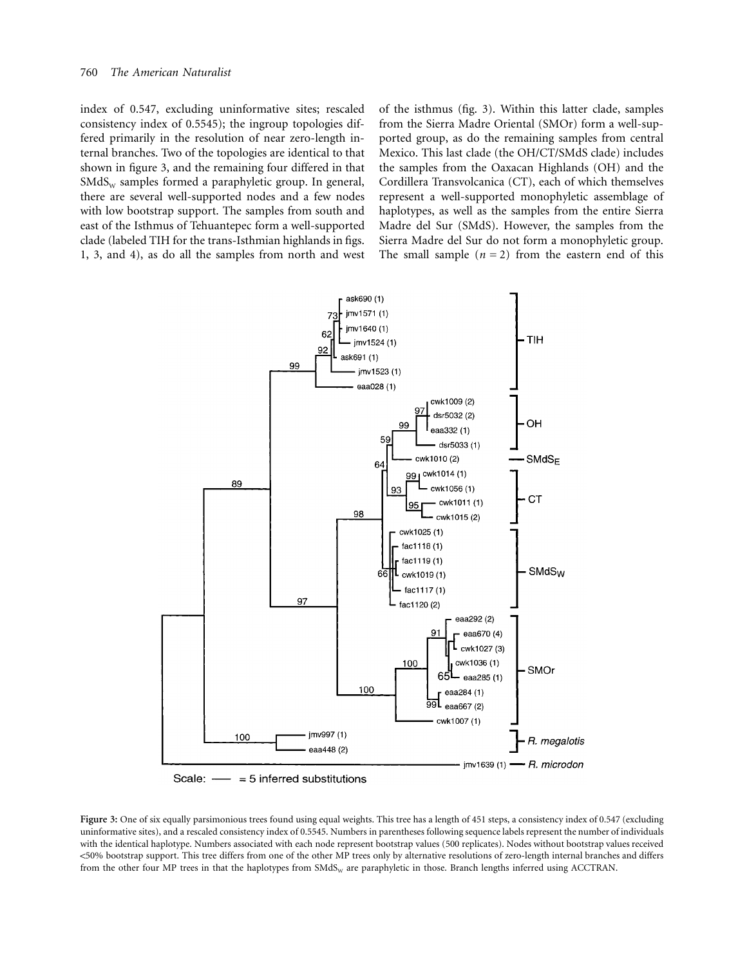index of 0.547, excluding uninformative sites; rescaled consistency index of 0.5545); the ingroup topologies differed primarily in the resolution of near zero-length internal branches. Two of the topologies are identical to that shown in figure 3, and the remaining four differed in that  $SMdS<sub>w</sub>$  samples formed a paraphyletic group. In general, there are several well-supported nodes and a few nodes with low bootstrap support. The samples from south and east of the Isthmus of Tehuantepec form a well-supported clade (labeled TIH for the trans-Isthmian highlands in figs. 1, 3, and 4), as do all the samples from north and west

of the isthmus (fig. 3). Within this latter clade, samples from the Sierra Madre Oriental (SMOr) form a well-supported group, as do the remaining samples from central Mexico. This last clade (the OH/CT/SMdS clade) includes the samples from the Oaxacan Highlands (OH) and the Cordillera Transvolcanica (CT), each of which themselves represent a well-supported monophyletic assemblage of haplotypes, as well as the samples from the entire Sierra Madre del Sur (SMdS). However, the samples from the Sierra Madre del Sur do not form a monophyletic group. The small sample  $(n = 2)$  from the eastern end of this



Scale:  $-$  = 5 inferred substitutions

**Figure 3:** One of six equally parsimonious trees found using equal weights. This tree has a length of 451 steps, a consistency index of 0.547 (excluding uninformative sites), and a rescaled consistency index of 0.5545. Numbers in parentheses following sequence labels represent the number of individuals with the identical haplotype. Numbers associated with each node represent bootstrap values (500 replicates). Nodes without bootstrap values received !50% bootstrap support. This tree differs from one of the other MP trees only by alternative resolutions of zero-length internal branches and differs from the other four MP trees in that the haplotypes from  $SMS_W$  are paraphyletic in those. Branch lengths inferred using ACCTRAN.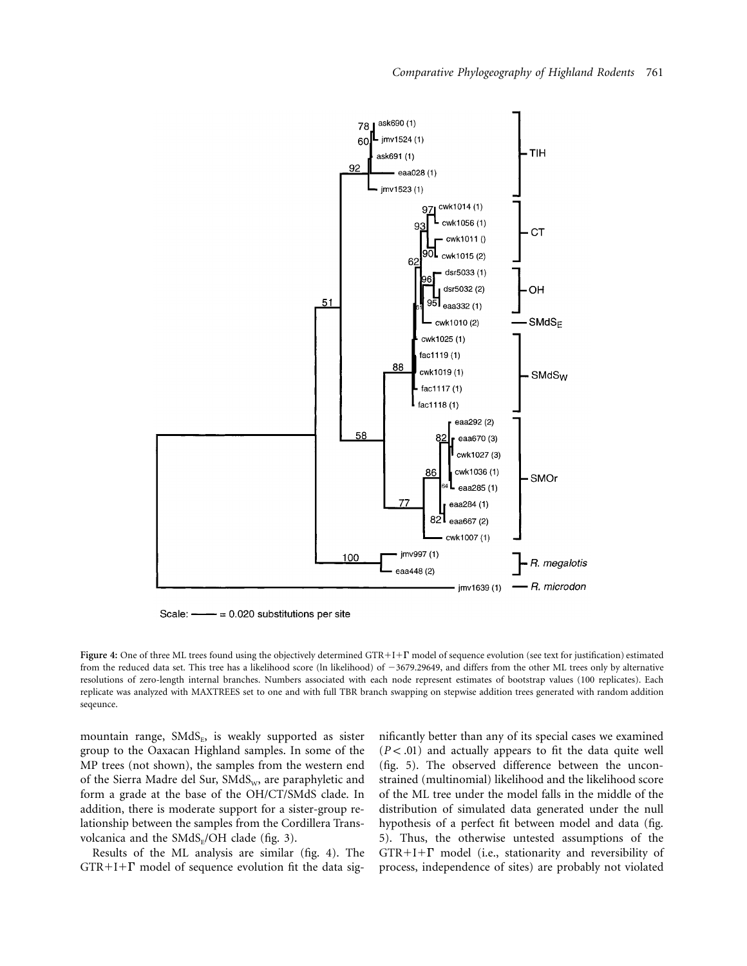

Scale: - $-$  = 0.020 substitutions per site

Figure 4: One of three ML trees found using the objectively determined GTR+I+T model of sequence evolution (see text for justification) estimated from the reduced data set. This tree has a likelihood score (ln likelihood) of  $-3679.29649$ , and differs from the other ML trees only by alternative resolutions of zero-length internal branches. Numbers associated with each node represent estimates of bootstrap values (100 replicates). Each replicate was analyzed with MAXTREES set to one and with full TBR branch swapping on stepwise addition trees generated with random addition seqeunce.

mountain range,  $SMdS<sub>E</sub>$ , is weakly supported as sister group to the Oaxacan Highland samples. In some of the MP trees (not shown), the samples from the western end of the Sierra Madre del Sur,  $\text{SMdS}_{\text{w}}$ , are paraphyletic and form a grade at the base of the OH/CT/SMdS clade. In addition, there is moderate support for a sister-group relationship between the samples from the Cordillera Transvolcanica and the  $SMdS_E/OH$  clade (fig. 3).

Results of the ML analysis are similar (fig. 4). The  $GTR+I+ \Gamma$  model of sequence evolution fit the data sig-

nificantly better than any of its special cases we examined  $(P < .01)$  and actually appears to fit the data quite well (fig. 5). The observed difference between the unconstrained (multinomial) likelihood and the likelihood score of the ML tree under the model falls in the middle of the distribution of simulated data generated under the null hypothesis of a perfect fit between model and data (fig. 5). Thus, the otherwise untested assumptions of the  $GTR+I+\Gamma$  model (i.e., stationarity and reversibility of process, independence of sites) are probably not violated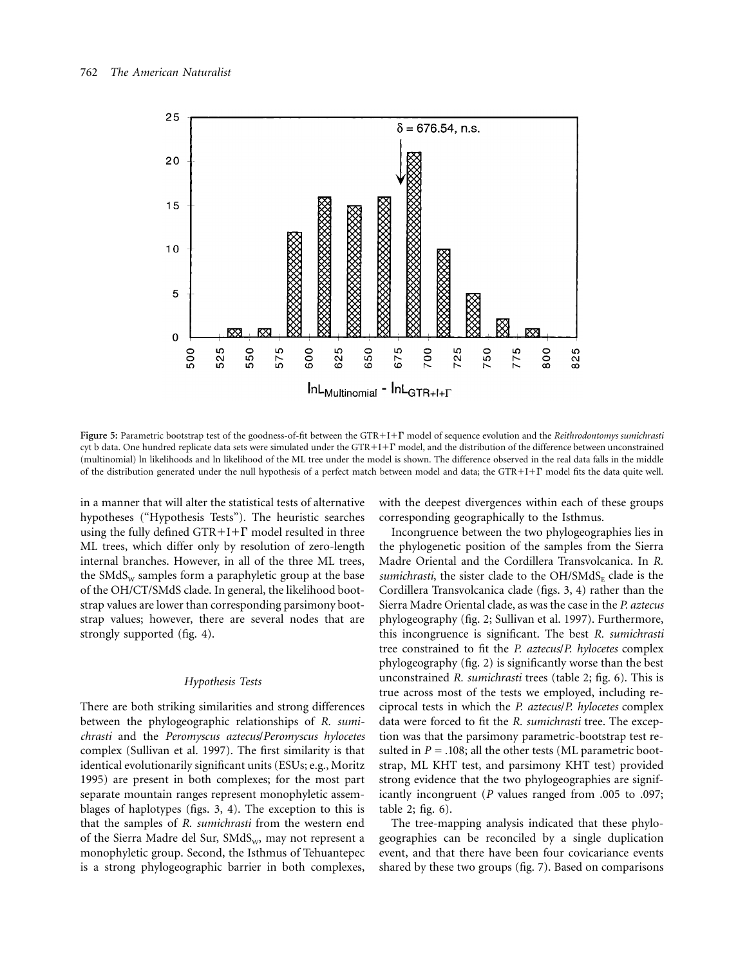

Figure 5: Parametric bootstrap test of the goodness-of-fit between the GTR+I+T model of sequence evolution and the *Reithrodontomys sumichrasti* cyt b data. One hundred replicate data sets were simulated under the GTR+I+T model, and the distribution of the difference between unconstrained (multinomial) ln likelihoods and ln likelihood of the ML tree under the model is shown. The difference observed in the real data falls in the middle of the distribution generated under the null hypothesis of a perfect match between model and data; the GTR+I+ $\Gamma$  model fits the data quite well.

in a manner that will alter the statistical tests of alternative hypotheses ("Hypothesis Tests"). The heuristic searches using the fully defined  $GTR+I+\Gamma$  model resulted in three ML trees, which differ only by resolution of zero-length internal branches. However, in all of the three ML trees, the SMdS<sub>w</sub> samples form a paraphyletic group at the base of the OH/CT/SMdS clade. In general, the likelihood bootstrap values are lower than corresponding parsimony bootstrap values; however, there are several nodes that are strongly supported (fig. 4).

#### *Hypothesis Tests*

There are both striking similarities and strong differences between the phylogeographic relationships of *R. sumichrasti* and the *Peromyscus aztecus*/*Peromyscus hylocetes* complex (Sullivan et al. 1997). The first similarity is that identical evolutionarily significant units (ESUs; e.g., Moritz 1995) are present in both complexes; for the most part separate mountain ranges represent monophyletic assemblages of haplotypes (figs. 3, 4). The exception to this is that the samples of *R. sumichrasti* from the western end of the Sierra Madre del Sur,  $\text{SMdS}_{\text{W}}$ , may not represent a monophyletic group. Second, the Isthmus of Tehuantepec is a strong phylogeographic barrier in both complexes,

with the deepest divergences within each of these groups corresponding geographically to the Isthmus.

Incongruence between the two phylogeographies lies in the phylogenetic position of the samples from the Sierra Madre Oriental and the Cordillera Transvolcanica. In *R. sumichrasti*, the sister clade to the OH/SMdS<sub>E</sub> clade is the Cordillera Transvolcanica clade (figs. 3, 4) rather than the Sierra Madre Oriental clade, as was the case in the *P. aztecus* phylogeography (fig. 2; Sullivan et al. 1997). Furthermore, this incongruence is significant. The best *R. sumichrasti* tree constrained to fit the *P. aztecus*/*P. hylocetes* complex phylogeography (fig. 2) is significantly worse than the best unconstrained *R. sumichrasti* trees (table 2; fig. 6). This is true across most of the tests we employed, including reciprocal tests in which the *P. aztecus*/*P. hylocetes* complex data were forced to fit the *R. sumichrasti* tree. The exception was that the parsimony parametric-bootstrap test resulted in  $P = .108$ ; all the other tests (ML parametric bootstrap, ML KHT test, and parsimony KHT test) provided strong evidence that the two phylogeographies are significantly incongruent (*P* values ranged from .005 to .097; table 2; fig. 6).

The tree-mapping analysis indicated that these phylogeographies can be reconciled by a single duplication event, and that there have been four covicariance events shared by these two groups (fig. 7). Based on comparisons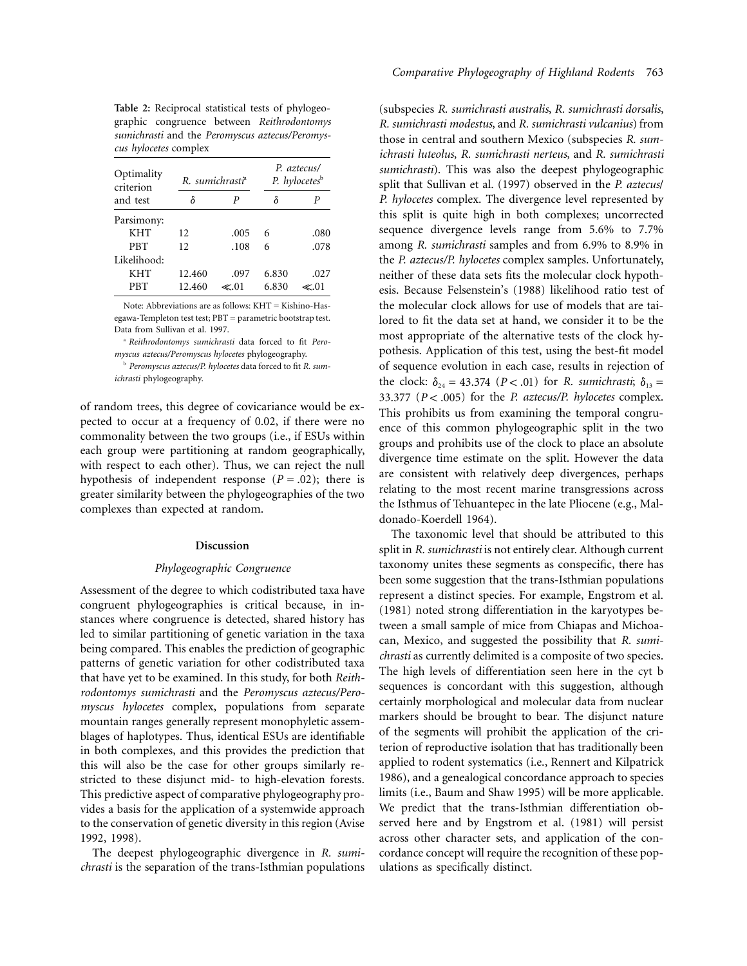|                       | Table 2: Reciprocal statistical tests of phylogeo- |
|-----------------------|----------------------------------------------------|
|                       | graphic congruence between Reithrodontomys         |
|                       | sumichrasti and the Peromyscus aztecus/Peromys-    |
| cus hylocetes complex |                                                    |

| Optimality<br>criterion |        | R. sumichrasti <sup>a</sup> | P. aztecus/<br>P. hylocetes <sup>b</sup> |      |
|-------------------------|--------|-----------------------------|------------------------------------------|------|
| and test                | δ      | Р                           | δ                                        | P    |
| Parsimony:              |        |                             |                                          |      |
| <b>KHT</b>              | 12     | .005                        | 6                                        | .080 |
| <b>PRT</b>              | 12     | .108                        | 6                                        | .078 |
| Likelihood:             |        |                             |                                          |      |
| <b>KHT</b>              | 12.460 | .097                        | 6.830                                    | .027 |
| PBT                     | 12.460 | $\ll 01$                    | 6.830                                    | ≪.01 |

Note: Abbreviations are as follows: KHT = Kishino-Hasegawa-Templeton test test; PBT = parametric bootstrap test. Data from Sullivan et al. 1997.

<sup>a</sup> *Reithrodontomys sumichrasti* data forced to fit *Peromyscus aztecus/Peromyscus hylocetes* phylogeography.

<sup>b</sup> *Peromyscus aztecus/P. hylocetes* data forced to fit *R. sumichrasti* phylogeography.

of random trees, this degree of covicariance would be expected to occur at a frequency of 0.02, if there were no commonality between the two groups (i.e., if ESUs within each group were partitioning at random geographically, with respect to each other). Thus, we can reject the null hypothesis of independent response  $(P = .02)$ ; there is greater similarity between the phylogeographies of the two complexes than expected at random.

#### **Discussion**

#### *Phylogeographic Congruence*

Assessment of the degree to which codistributed taxa have congruent phylogeographies is critical because, in instances where congruence is detected, shared history has led to similar partitioning of genetic variation in the taxa being compared. This enables the prediction of geographic patterns of genetic variation for other codistributed taxa that have yet to be examined. In this study, for both *Reithrodontomys sumichrasti* and the *Peromyscus aztecus/Peromyscus hylocetes* complex, populations from separate mountain ranges generally represent monophyletic assemblages of haplotypes. Thus, identical ESUs are identifiable in both complexes, and this provides the prediction that this will also be the case for other groups similarly restricted to these disjunct mid- to high-elevation forests. This predictive aspect of comparative phylogeography provides a basis for the application of a systemwide approach to the conservation of genetic diversity in this region (Avise 1992, 1998).

The deepest phylogeographic divergence in *R. sumichrasti* is the separation of the trans-Isthmian populations

(subspecies *R. sumichrasti australis*, *R. sumichrasti dorsalis*, *R. sumichrasti modestus*, and *R. sumichrasti vulcanius*) from those in central and southern Mexico (subspecies *R. sumichrasti luteolus*, *R. sumichrasti nerteus*, and *R. sumichrasti sumichrasti*). This was also the deepest phylogeographic split that Sullivan et al. (1997) observed in the *P. aztecus*/ *P. hylocetes* complex. The divergence level represented by this split is quite high in both complexes; uncorrected sequence divergence levels range from 5.6% to 7.7% among *R. sumichrasti* samples and from 6.9% to 8.9% in the *P. aztecus/P. hylocetes* complex samples. Unfortunately, neither of these data sets fits the molecular clock hypothesis. Because Felsenstein's (1988) likelihood ratio test of the molecular clock allows for use of models that are tailored to fit the data set at hand, we consider it to be the most appropriate of the alternative tests of the clock hypothesis. Application of this test, using the best-fit model of sequence evolution in each case, results in rejection of the clock:  $\delta_{24} = 43.374$  *(P < .01)* for *R. sumichrasti*;  $\delta_{13} =$ 33.377  $(P < .005)$  for the *P. aztecus/P. hylocetes* complex. This prohibits us from examining the temporal congruence of this common phylogeographic split in the two groups and prohibits use of the clock to place an absolute divergence time estimate on the split. However the data are consistent with relatively deep divergences, perhaps relating to the most recent marine transgressions across the Isthmus of Tehuantepec in the late Pliocene (e.g., Maldonado-Koerdell 1964).

The taxonomic level that should be attributed to this split in *R. sumichrasti* is not entirely clear. Although current taxonomy unites these segments as conspecific, there has been some suggestion that the trans-Isthmian populations represent a distinct species. For example, Engstrom et al. (1981) noted strong differentiation in the karyotypes between a small sample of mice from Chiapas and Michoacan, Mexico, and suggested the possibility that *R. sumichrasti* as currently delimited is a composite of two species. The high levels of differentiation seen here in the cyt b sequences is concordant with this suggestion, although certainly morphological and molecular data from nuclear markers should be brought to bear. The disjunct nature of the segments will prohibit the application of the criterion of reproductive isolation that has traditionally been applied to rodent systematics (i.e., Rennert and Kilpatrick 1986), and a genealogical concordance approach to species limits (i.e., Baum and Shaw 1995) will be more applicable. We predict that the trans-Isthmian differentiation observed here and by Engstrom et al. (1981) will persist across other character sets, and application of the concordance concept will require the recognition of these populations as specifically distinct.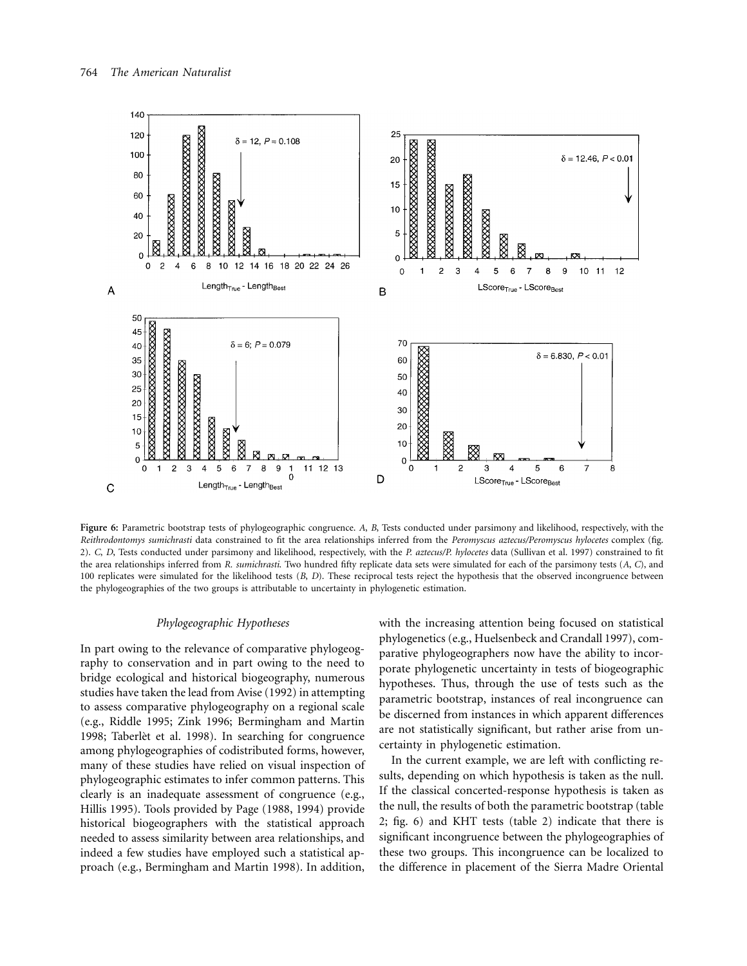

**Figure 6:** Parametric bootstrap tests of phylogeographic congruence. *A*, *B*, Tests conducted under parsimony and likelihood, respectively, with the *Reithrodontomys sumichrasti* data constrained to fit the area relationships inferred from the *Peromyscus aztecus/Peromyscus hylocetes* complex (fig. 2). *C*, *D*, Tests conducted under parsimony and likelihood, respectively, with the *P. aztecus/P. hylocetes* data (Sullivan et al. 1997) constrained to fit the area relationships inferred from *R. sumichrasti*. Two hundred fifty replicate data sets were simulated for each of the parsimony tests (*A*, *C*), and 100 replicates were simulated for the likelihood tests (*B*, *D*). These reciprocal tests reject the hypothesis that the observed incongruence between the phylogeographies of the two groups is attributable to uncertainty in phylogenetic estimation.

# *Phylogeographic Hypotheses*

In part owing to the relevance of comparative phylogeography to conservation and in part owing to the need to bridge ecological and historical biogeography, numerous studies have taken the lead from Avise (1992) in attempting to assess comparative phylogeography on a regional scale (e.g., Riddle 1995; Zink 1996; Bermingham and Martin 1998; Taberlèt et al. 1998). In searching for congruence among phylogeographies of codistributed forms, however, many of these studies have relied on visual inspection of phylogeographic estimates to infer common patterns. This clearly is an inadequate assessment of congruence (e.g., Hillis 1995). Tools provided by Page (1988, 1994) provide historical biogeographers with the statistical approach needed to assess similarity between area relationships, and indeed a few studies have employed such a statistical approach (e.g., Bermingham and Martin 1998). In addition,

with the increasing attention being focused on statistical phylogenetics (e.g., Huelsenbeck and Crandall 1997), comparative phylogeographers now have the ability to incorporate phylogenetic uncertainty in tests of biogeographic hypotheses. Thus, through the use of tests such as the parametric bootstrap, instances of real incongruence can be discerned from instances in which apparent differences are not statistically significant, but rather arise from uncertainty in phylogenetic estimation.

In the current example, we are left with conflicting results, depending on which hypothesis is taken as the null. If the classical concerted-response hypothesis is taken as the null, the results of both the parametric bootstrap (table 2; fig. 6) and KHT tests (table 2) indicate that there is significant incongruence between the phylogeographies of these two groups. This incongruence can be localized to the difference in placement of the Sierra Madre Oriental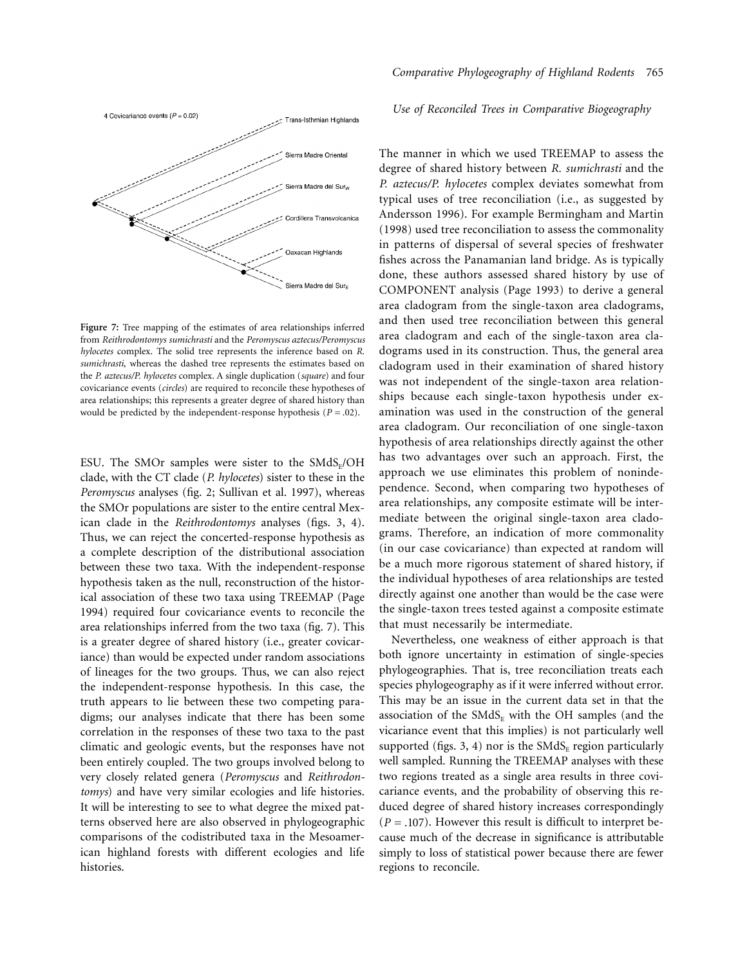

**Figure 7:** Tree mapping of the estimates of area relationships inferred from *Reithrodontomys sumichrasti* and the *Peromyscus aztecus/Peromyscus hylocetes* complex. The solid tree represents the inference based on *R. sumichrasti*, whereas the dashed tree represents the estimates based on the *P. aztecus/P. hylocetes* complex. A single duplication (*square*) and four covicariance events (*circles*) are required to reconcile these hypotheses of area relationships; this represents a greater degree of shared history than would be predicted by the independent-response hypothesis  $(P = .02)$ .

ESU. The SMOr samples were sister to the  $SMdS<sub>F</sub>/OH$ clade, with the CT clade (*P. hylocetes*) sister to these in the *Peromyscus* analyses (fig. 2; Sullivan et al. 1997), whereas the SMOr populations are sister to the entire central Mexican clade in the *Reithrodontomys* analyses (figs. 3, 4). Thus, we can reject the concerted-response hypothesis as a complete description of the distributional association between these two taxa. With the independent-response hypothesis taken as the null, reconstruction of the historical association of these two taxa using TREEMAP (Page 1994) required four covicariance events to reconcile the area relationships inferred from the two taxa (fig. 7). This is a greater degree of shared history (i.e., greater covicariance) than would be expected under random associations of lineages for the two groups. Thus, we can also reject the independent-response hypothesis. In this case, the truth appears to lie between these two competing paradigms; our analyses indicate that there has been some correlation in the responses of these two taxa to the past climatic and geologic events, but the responses have not been entirely coupled. The two groups involved belong to very closely related genera (*Peromyscus* and *Reithrodontomys*) and have very similar ecologies and life histories. It will be interesting to see to what degree the mixed patterns observed here are also observed in phylogeographic comparisons of the codistributed taxa in the Mesoamerican highland forests with different ecologies and life histories.

# *Use of Reconciled Trees in Comparative Biogeography*

The manner in which we used TREEMAP to assess the degree of shared history between *R. sumichrasti* and the *P. aztecus/P. hylocetes* complex deviates somewhat from typical uses of tree reconciliation (i.e., as suggested by Andersson 1996). For example Bermingham and Martin (1998) used tree reconciliation to assess the commonality in patterns of dispersal of several species of freshwater fishes across the Panamanian land bridge. As is typically done, these authors assessed shared history by use of COMPONENT analysis (Page 1993) to derive a general area cladogram from the single-taxon area cladograms, and then used tree reconciliation between this general area cladogram and each of the single-taxon area cladograms used in its construction. Thus, the general area cladogram used in their examination of shared history was not independent of the single-taxon area relationships because each single-taxon hypothesis under examination was used in the construction of the general area cladogram. Our reconciliation of one single-taxon hypothesis of area relationships directly against the other has two advantages over such an approach. First, the approach we use eliminates this problem of nonindependence. Second, when comparing two hypotheses of area relationships, any composite estimate will be intermediate between the original single-taxon area cladograms. Therefore, an indication of more commonality (in our case covicariance) than expected at random will be a much more rigorous statement of shared history, if the individual hypotheses of area relationships are tested directly against one another than would be the case were the single-taxon trees tested against a composite estimate that must necessarily be intermediate.

Nevertheless, one weakness of either approach is that both ignore uncertainty in estimation of single-species phylogeographies. That is, tree reconciliation treats each species phylogeography as if it were inferred without error. This may be an issue in the current data set in that the association of the  $SMdS<sub>E</sub>$  with the OH samples (and the vicariance event that this implies) is not particularly well supported (figs. 3, 4) nor is the  $SMdS<sub>E</sub>$  region particularly well sampled. Running the TREEMAP analyses with these two regions treated as a single area results in three covicariance events, and the probability of observing this reduced degree of shared history increases correspondingly  $(P = .107)$ . However this result is difficult to interpret because much of the decrease in significance is attributable simply to loss of statistical power because there are fewer regions to reconcile.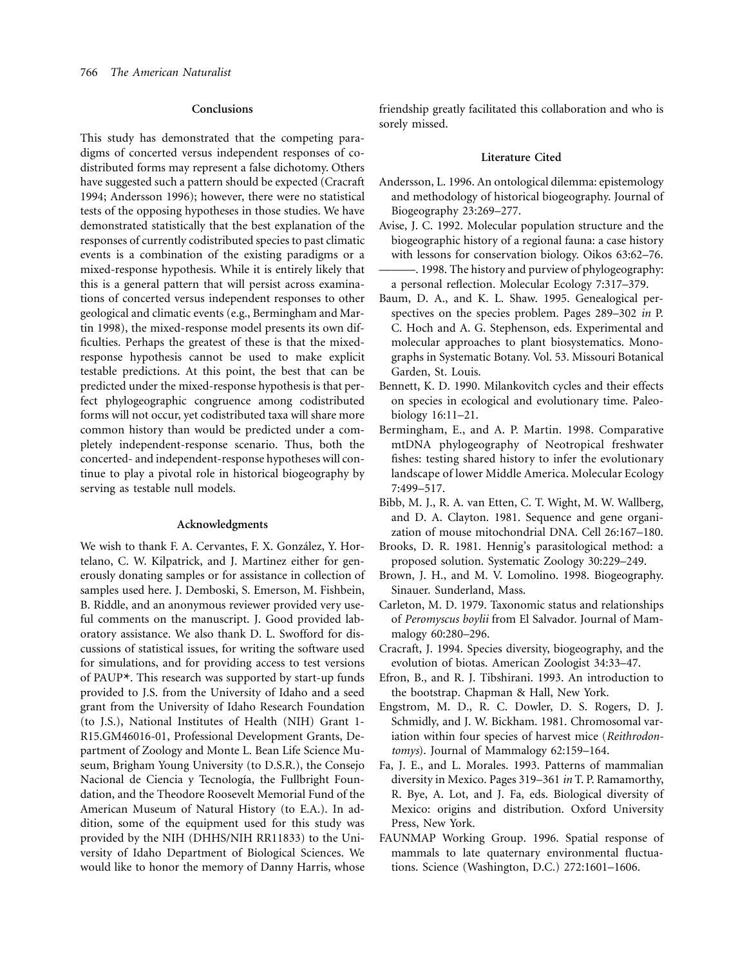## **Conclusions**

This study has demonstrated that the competing paradigms of concerted versus independent responses of codistributed forms may represent a false dichotomy. Others have suggested such a pattern should be expected (Cracraft 1994; Andersson 1996); however, there were no statistical tests of the opposing hypotheses in those studies. We have demonstrated statistically that the best explanation of the responses of currently codistributed species to past climatic events is a combination of the existing paradigms or a mixed-response hypothesis. While it is entirely likely that this is a general pattern that will persist across examinations of concerted versus independent responses to other geological and climatic events (e.g., Bermingham and Martin 1998), the mixed-response model presents its own difficulties. Perhaps the greatest of these is that the mixedresponse hypothesis cannot be used to make explicit testable predictions. At this point, the best that can be predicted under the mixed-response hypothesis is that perfect phylogeographic congruence among codistributed forms will not occur, yet codistributed taxa will share more common history than would be predicted under a completely independent-response scenario. Thus, both the concerted- and independent-response hypotheses will continue to play a pivotal role in historical biogeography by serving as testable null models.

# **Acknowledgments**

We wish to thank F. A. Cervantes, F. X. González, Y. Hortelano, C. W. Kilpatrick, and J. Martinez either for generously donating samples or for assistance in collection of samples used here. J. Demboski, S. Emerson, M. Fishbein, B. Riddle, and an anonymous reviewer provided very useful comments on the manuscript. J. Good provided laboratory assistance. We also thank D. L. Swofford for discussions of statistical issues, for writing the software used for simulations, and for providing access to test versions of PAUP\*. This research was supported by start-up funds provided to J.S. from the University of Idaho and a seed grant from the University of Idaho Research Foundation (to J.S.), National Institutes of Health (NIH) Grant 1- R15.GM46016-01, Professional Development Grants, Department of Zoology and Monte L. Bean Life Science Museum, Brigham Young University (to D.S.R.), the Consejo Nacional de Ciencia y Tecnología, the Fullbright Foundation, and the Theodore Roosevelt Memorial Fund of the American Museum of Natural History (to E.A.). In addition, some of the equipment used for this study was provided by the NIH (DHHS/NIH RR11833) to the University of Idaho Department of Biological Sciences. We would like to honor the memory of Danny Harris, whose friendship greatly facilitated this collaboration and who is sorely missed.

## **Literature Cited**

- Andersson, L. 1996. An ontological dilemma: epistemology and methodology of historical biogeography. Journal of Biogeography 23:269–277.
- Avise, J. C. 1992. Molecular population structure and the biogeographic history of a regional fauna: a case history with lessons for conservation biology. Oikos 63:62–76.
- ———. 1998. The history and purview of phylogeography: a personal reflection. Molecular Ecology 7:317–379.
- Baum, D. A., and K. L. Shaw. 1995. Genealogical perspectives on the species problem. Pages 289–302 *in* P. C. Hoch and A. G. Stephenson, eds. Experimental and molecular approaches to plant biosystematics. Monographs in Systematic Botany. Vol. 53. Missouri Botanical Garden, St. Louis.
- Bennett, K. D. 1990. Milankovitch cycles and their effects on species in ecological and evolutionary time. Paleobiology 16:11–21.
- Bermingham, E., and A. P. Martin. 1998. Comparative mtDNA phylogeography of Neotropical freshwater fishes: testing shared history to infer the evolutionary landscape of lower Middle America. Molecular Ecology 7:499–517.
- Bibb, M. J., R. A. van Etten, C. T. Wight, M. W. Wallberg, and D. A. Clayton. 1981. Sequence and gene organization of mouse mitochondrial DNA. Cell 26:167–180.
- Brooks, D. R. 1981. Hennig's parasitological method: a proposed solution. Systematic Zoology 30:229–249.
- Brown, J. H., and M. V. Lomolino. 1998. Biogeography. Sinauer. Sunderland, Mass.
- Carleton, M. D. 1979. Taxonomic status and relationships of *Peromyscus boylii* from El Salvador. Journal of Mammalogy 60:280–296.
- Cracraft, J. 1994. Species diversity, biogeography, and the evolution of biotas. American Zoologist 34:33–47.
- Efron, B., and R. J. Tibshirani. 1993. An introduction to the bootstrap. Chapman & Hall, New York.
- Engstrom, M. D., R. C. Dowler, D. S. Rogers, D. J. Schmidly, and J. W. Bickham. 1981. Chromosomal variation within four species of harvest mice (*Reithrodontomys*). Journal of Mammalogy 62:159–164.
- Fa, J. E., and L. Morales. 1993. Patterns of mammalian diversity in Mexico. Pages 319–361 *in* T. P. Ramamorthy, R. Bye, A. Lot, and J. Fa, eds. Biological diversity of Mexico: origins and distribution. Oxford University Press, New York.
- FAUNMAP Working Group. 1996. Spatial response of mammals to late quaternary environmental fluctuations. Science (Washington, D.C.) 272:1601–1606.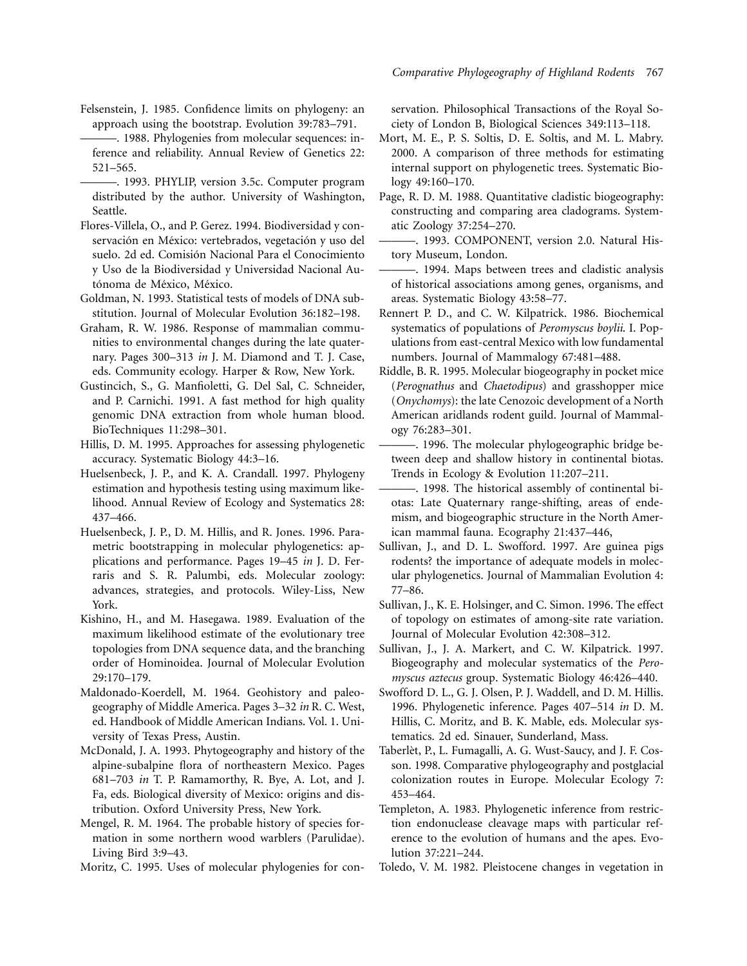- Felsenstein, J. 1985. Confidence limits on phylogeny: an approach using the bootstrap. Evolution 39:783–791.
	- ———. 1988. Phylogenies from molecular sequences: inference and reliability. Annual Review of Genetics 22: 521–565.
- ———. 1993. PHYLIP, version 3.5c. Computer program distributed by the author. University of Washington, Seattle.
- Flores-Villela, O., and P. Gerez. 1994. Biodiversidad y conservación en México: vertebrados, vegetación y uso del suelo. 2d ed. Comisión Nacional Para el Conocimiento y Uso de la Biodiversidad y Universidad Nacional Autónoma de México, México.
- Goldman, N. 1993. Statistical tests of models of DNA substitution. Journal of Molecular Evolution 36:182–198.
- Graham, R. W. 1986. Response of mammalian communities to environmental changes during the late quaternary. Pages 300–313 *in* J. M. Diamond and T. J. Case, eds. Community ecology. Harper & Row, New York.
- Gustincich, S., G. Manfioletti, G. Del Sal, C. Schneider, and P. Carnichi. 1991. A fast method for high quality genomic DNA extraction from whole human blood. BioTechniques 11:298–301.
- Hillis, D. M. 1995. Approaches for assessing phylogenetic accuracy. Systematic Biology 44:3–16.
- Huelsenbeck, J. P., and K. A. Crandall. 1997. Phylogeny estimation and hypothesis testing using maximum likelihood. Annual Review of Ecology and Systematics 28: 437–466.
- Huelsenbeck, J. P., D. M. Hillis, and R. Jones. 1996. Parametric bootstrapping in molecular phylogenetics: applications and performance. Pages 19–45 *in* J. D. Ferraris and S. R. Palumbi, eds. Molecular zoology: advances, strategies, and protocols. Wiley-Liss, New York.
- Kishino, H., and M. Hasegawa. 1989. Evaluation of the maximum likelihood estimate of the evolutionary tree topologies from DNA sequence data, and the branching order of Hominoidea. Journal of Molecular Evolution 29:170–179.
- Maldonado-Koerdell, M. 1964. Geohistory and paleogeography of Middle America. Pages 3–32 *in* R. C. West, ed. Handbook of Middle American Indians. Vol. 1. University of Texas Press, Austin.
- McDonald, J. A. 1993. Phytogeography and history of the alpine-subalpine flora of northeastern Mexico. Pages 681–703 *in* T. P. Ramamorthy, R. Bye, A. Lot, and J. Fa, eds. Biological diversity of Mexico: origins and distribution. Oxford University Press, New York.
- Mengel, R. M. 1964. The probable history of species formation in some northern wood warblers (Parulidae). Living Bird 3:9–43.
- Moritz, C. 1995. Uses of molecular phylogenies for con-

servation. Philosophical Transactions of the Royal Society of London B, Biological Sciences 349:113–118.

- Mort, M. E., P. S. Soltis, D. E. Soltis, and M. L. Mabry. 2000. A comparison of three methods for estimating internal support on phylogenetic trees. Systematic Biology 49:160–170.
- Page, R. D. M. 1988. Quantitative cladistic biogeography: constructing and comparing area cladograms. Systematic Zoology 37:254–270.
- ———. 1993. COMPONENT, version 2.0. Natural History Museum, London.
- ———. 1994. Maps between trees and cladistic analysis of historical associations among genes, organisms, and areas. Systematic Biology 43:58–77.
- Rennert P. D., and C. W. Kilpatrick. 1986. Biochemical systematics of populations of *Peromyscus boylii*. I. Populations from east-central Mexico with low fundamental numbers. Journal of Mammalogy 67:481–488.
- Riddle, B. R. 1995. Molecular biogeography in pocket mice (*Perognathus* and *Chaetodipus*) and grasshopper mice (*Onychomys*): the late Cenozoic development of a North American aridlands rodent guild. Journal of Mammalogy 76:283–301.
- -. 1996. The molecular phylogeographic bridge between deep and shallow history in continental biotas. Trends in Ecology & Evolution 11:207–211.
- -. 1998. The historical assembly of continental biotas: Late Quaternary range-shifting, areas of endemism, and biogeographic structure in the North American mammal fauna. Ecography 21:437–446,
- Sullivan, J., and D. L. Swofford. 1997. Are guinea pigs rodents? the importance of adequate models in molecular phylogenetics. Journal of Mammalian Evolution 4: 77–86.
- Sullivan, J., K. E. Holsinger, and C. Simon. 1996. The effect of topology on estimates of among-site rate variation. Journal of Molecular Evolution 42:308–312.
- Sullivan, J., J. A. Markert, and C. W. Kilpatrick. 1997. Biogeography and molecular systematics of the *Peromyscus aztecus* group. Systematic Biology 46:426–440.
- Swofford D. L., G. J. Olsen, P. J. Waddell, and D. M. Hillis. 1996. Phylogenetic inference. Pages 407–514 *in* D. M. Hillis, C. Moritz, and B. K. Mable, eds. Molecular systematics. 2d ed. Sinauer, Sunderland, Mass.
- Taberlèt, P., L. Fumagalli, A. G. Wust-Saucy, and J. F. Cosson. 1998. Comparative phylogeography and postglacial colonization routes in Europe. Molecular Ecology 7: 453–464.
- Templeton, A. 1983. Phylogenetic inference from restriction endonuclease cleavage maps with particular reference to the evolution of humans and the apes. Evolution 37:221–244.
- Toledo, V. M. 1982. Pleistocene changes in vegetation in